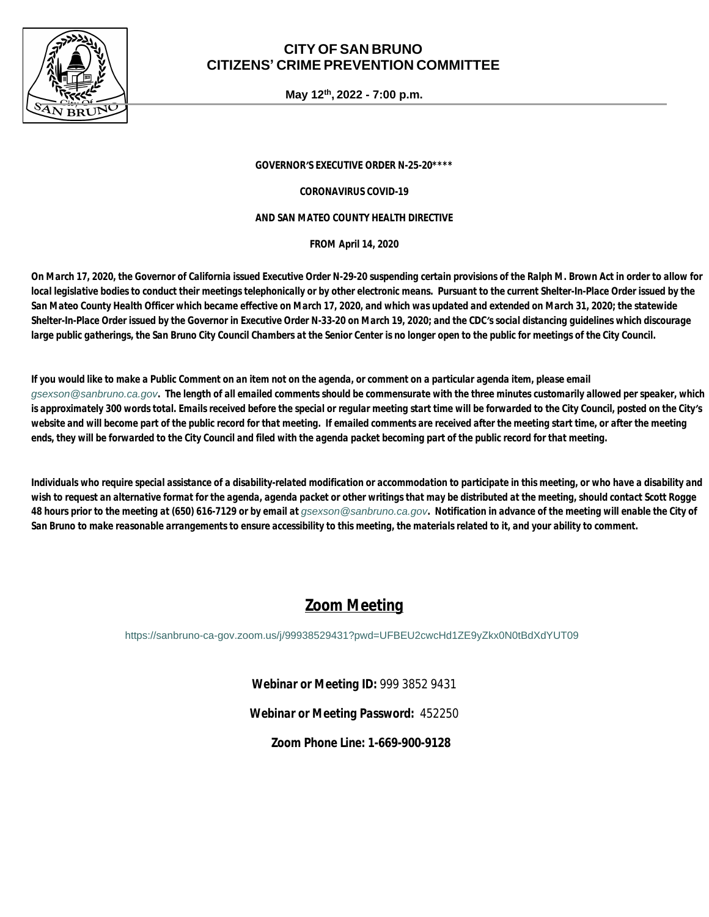

### **CITY OF SAN BRUNO CITIZENS' CRIME PREVENTION COMMITTEE**

**May 12th, 2022 - 7:00 p.m.**

*GOVERNOR'S EXECUTIVE ORDER N-25-20\*\*\*\**

*CORONAVIRUS COVID-19*

#### *AND SAN MATEO COUNTY HEALTH DIRECTIVE*

*FROM April 14, 2020*

*On March 17, 2020, the Governor of California issued Executive Order N-29-20 suspending certain provisions of the Ralph M. Brown Act in order to allow for local legislative bodies to conduct their meetings telephonically or by other electronic means. Pursuant to the current Shelter-In-Place Order issued by the San Mateo County Health Officer which became effective on March 17, 2020, and which was updated and extended on March 31, 2020; the statewide Shelter-In-Place Order issued by the Governor in Executive Order N-33-20 on March 19, 2020; and the CDC's social distancing guidelines which discourage*  large public gatherings, the San Bruno City Council Chambers at the Senior Center is no longer open to the public for meetings of the City Council.

*If you would like to make a Public Comment on an item not on the agenda, or comment on a particular agenda item, please email [gsexson@sanbruno.ca.gov](mailto:gsexson@sanbruno.ca.gov). The length of all emailed comments should be commensurate with the three minutes customarily allowed per speaker, which is approximately 300 words total. Emails received before the special or regular meeting start time will be forwarded to the City Council, posted on the City's website and will become part of the public record for that meeting. If emailed comments are received after the meeting start time, or after the meeting ends, they will be forwarded to the City Council and filed with the agenda packet becoming part of the public record for that meeting.* 

*Individuals who require special assistance of a disability-related modification or accommodation to participate in this meeting, or who have a disability and wish to request an alternative format for the agenda, agenda packet or other writings that may be distributed at the meeting, should contact Scott Rogge*  48 hours prior to the meeting at (650) 616-7129 or by email at *qsexson@sanbruno.ca.gov*. Notification in advance of the meeting will enable the City of *San Bruno to make reasonable arrangements to ensure accessibility to this meeting, the materials related to it, and your ability to comment.*

## *Zoom Meeting*

<https://sanbruno-ca-gov.zoom.us/j/99938529431?pwd=UFBEU2cwcHd1ZE9yZkx0N0tBdXdYUT09>

*Webinar or Meeting ID:* 999 3852 9431

*Webinar or Meeting Password:* 452250

*Zoom Phone Line:* **1-669-900-9128**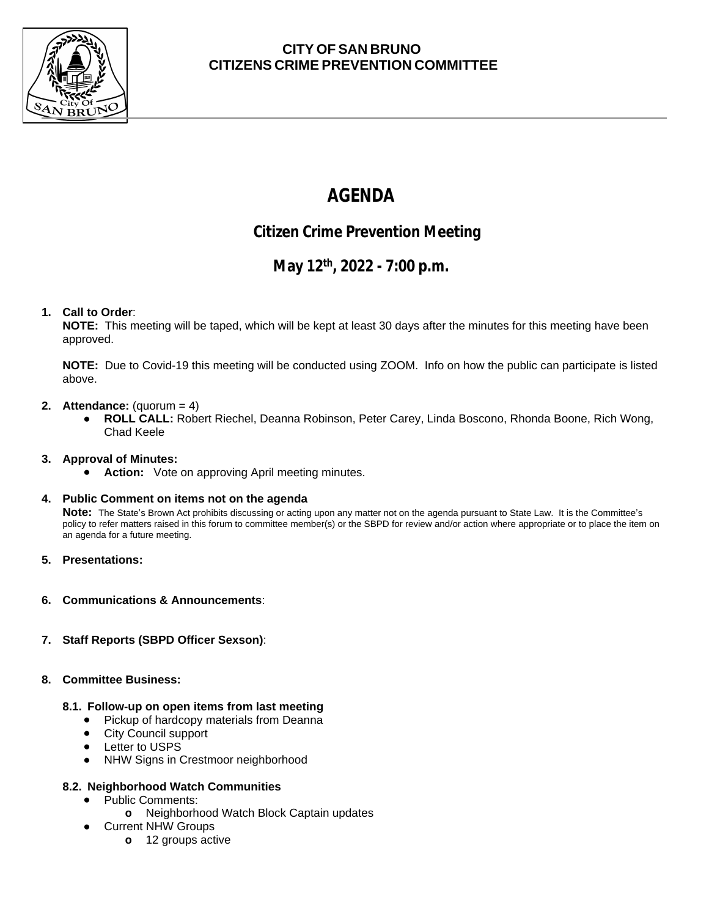

### **CITY OF SAN BRUNO CITIZENS CRIME PREVENTION COMMITTEE**

# **AGENDA**

## **Citizen Crime Prevention Meeting**

## **May 12th, 2022 - 7:00 p.m.**

#### **1. Call to Order**:

**NOTE:** This meeting will be taped, which will be kept at least 30 days after the minutes for this meeting have been approved.

**NOTE:** Due to Covid-19 this meeting will be conducted using ZOOM. Info on how the public can participate is listed above.

#### **2. Attendance:** (quorum = 4)

● **ROLL CALL:** Robert Riechel, Deanna Robinson, Peter Carey, Linda Boscono, Rhonda Boone, Rich Wong, Chad Keele

#### **3. Approval of Minutes:**

● **Action:** Vote on approving April meeting minutes.

#### **4. Public Comment on items not on the agenda**

**Note:** The State's Brown Act prohibits discussing or acting upon any matter not on the agenda pursuant to State Law. It is the Committee's policy to refer matters raised in this forum to committee member(s) or the SBPD for review and/or action where appropriate or to place the item on an agenda for a future meeting.

- **5. Presentations:**
- **6. Communications & Announcements**:
- **7. Staff Reports (SBPD Officer Sexson)**:

#### **8. Committee Business:**

#### **8.1. Follow-up on open items from last meeting**

- **●** Pickup of hardcopy materials from Deanna
- City Council support
- Letter to USPS
- NHW Signs in Crestmoor neighborhood

#### **8.2. Neighborhood Watch Communities**

- Public Comments:
	- **o** Neighborhood Watch Block Captain updates
	- **Current NHW Groups** 
		- **o** 12 groups active